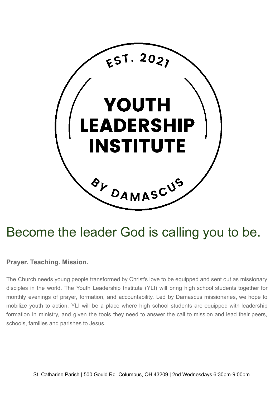

# Become the leader God is calling you to be.

# **Prayer. Teaching. Mission.**

The Church needs young people transformed by Christ's love to be equipped and sent out as missionary disciples in the world. The Youth Leadership Institute (YLI) will bring high school students together for monthly evenings of prayer, formation, and accountability. Led by Damascus missionaries, we hope to mobilize youth to action. YLI will be a place where high school students are equipped with leadership formation in ministry, and given the tools they need to answer the call to mission and lead their peers, schools, families and parishes to Jesus.